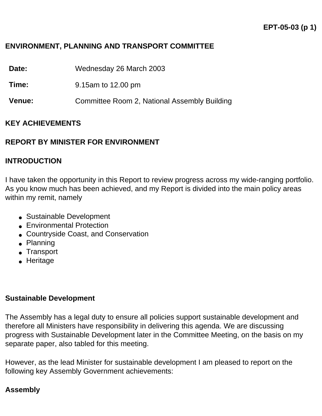### **ENVIRONMENT, PLANNING AND TRANSPORT COMMITTEE**

**Date:** Wednesday 26 March 2003

**Time:** 9.15am to 12.00 pm

**Venue:** Committee Room 2, National Assembly Building

#### **KEY ACHIEVEMENTS**

#### **REPORT BY MINISTER FOR ENVIRONMENT**

#### **INTRODUCTION**

I have taken the opportunity in this Report to review progress across my wide-ranging portfolio. As you know much has been achieved, and my Report is divided into the main policy areas within my remit, namely

- Sustainable Development
- Environmental Protection
- Countryside Coast, and Conservation
- Planning
- Transport
- Heritage

#### **Sustainable Development**

The Assembly has a legal duty to ensure all policies support sustainable development and therefore all Ministers have responsibility in delivering this agenda. We are discussing progress with Sustainable Development later in the Committee Meeting, on the basis on my separate paper, also tabled for this meeting.

However, as the lead Minister for sustainable development I am pleased to report on the following key Assembly Government achievements:

### **Assembly**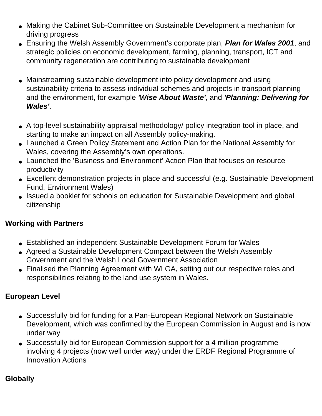- Making the Cabinet Sub-Committee on Sustainable Development a mechanism for driving progress
- Ensuring the Welsh Assembly Government's corporate plan, *Plan for Wales 2001*, and strategic policies on economic development, farming, planning, transport, ICT and community regeneration are contributing to sustainable development
- Mainstreaming sustainable development into policy development and using sustainability criteria to assess individual schemes and projects in transport planning and the environment, for example *'Wise About Waste'*, and *'Planning: Delivering for Wales'*.
- A top-level sustainability appraisal methodology/ policy integration tool in place, and starting to make an impact on all Assembly policy-making.
- Launched a Green Policy Statement and Action Plan for the National Assembly for Wales, covering the Assembly's own operations.
- Launched the 'Business and Environment' Action Plan that focuses on resource productivity
- Excellent demonstration projects in place and successful (e.g. Sustainable Development Fund, Environment Wales)
- Issued a booklet for schools on education for Sustainable Development and global citizenship

# **Working with Partners**

- Established an independent Sustainable Development Forum for Wales
- Agreed a Sustainable Development Compact between the Welsh Assembly Government and the Welsh Local Government Association
- Finalised the Planning Agreement with WLGA, setting out our respective roles and responsibilities relating to the land use system in Wales.

# **European Level**

- Successfully bid for funding for a Pan-European Regional Network on Sustainable Development, which was confirmed by the European Commission in August and is now under way
- Successfully bid for European Commission support for a  $\in$ 4 million programme involving 4 projects (now well under way) under the ERDF Regional Programme of Innovation Actions

# **Globally**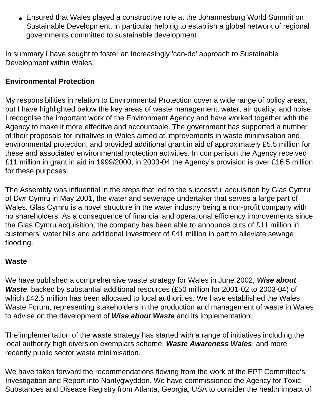• Ensured that Wales played a constructive role at the Johannesburg World Summit on Sustainable Development, in particular helping to establish a global network of regional governments committed to sustainable development

In summary I have sought to foster an increasingly 'can-do' approach to Sustainable Development within Wales.

## **Environmental Protection**

My responsibilities in relation to Environmental Protection cover a wide range of policy areas, but I have highlighted below the key areas of waste management, water, air quality, and noise. I recognise the important work of the Environment Agency and have worked together with the Agency to make it more effective and accountable. The government has supported a number of their proposals for initiatives in Wales aimed at improvements in waste minimisation and environmental protection, and provided additional grant in aid of approximately £5.5 million for these and associated environmental protection activities. In comparison the Agency received £11 million in grant in aid in 1999/2000; in 2003-04 the Agency's provision is over £16.5 million for these purposes.

The Assembly was influential in the steps that led to the successful acquisition by Glas Cymru of Dwr Cymru in May 2001, the water and sewerage undertaker that serves a large part of Wales. Glas Cymru is a novel structure in the water industry being a non-profit company with no shareholders. As a consequence of financial and operational efficiency improvements since the Glas Cymru acquisition, the company has been able to announce cuts of £11 million in customers' water bills and additional investment of £41 million in part to alleviate sewage flooding.

#### **Waste**

We have published a comprehensive waste strategy for Wales in June 2002, *Wise about Waste*, backed by substantial additional resources (£50 million for 2001-02 to 2003-04) of which £42.5 million has been allocated to local authorities. We have established the Wales Waste Forum, representing stakeholders in the production and management of waste in Wales to advise on the development of *Wise about Waste* and its implementation.

The implementation of the waste strategy has started with a range of initiatives including the local authority high diversion exemplars scheme, *Waste Awareness Wales*, and more recently public sector waste minimisation.

We have taken forward the recommendations flowing from the work of the EPT Committee's Investigation and Report into Nantygwyddon. We have commissioned the Agency for Toxic Substances and Disease Registry from Atlanta, Georgia, USA to consider the health impact of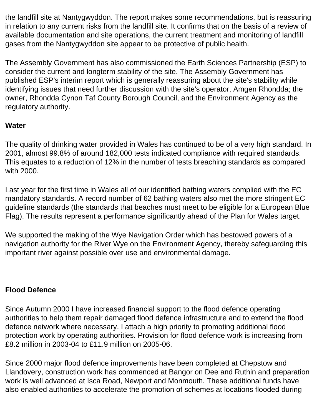the landfill site at Nantygwyddon. The report makes some recommendations, but is reassuring in relation to any current risks from the landfill site. It confirms that on the basis of a review of available documentation and site operations, the current treatment and monitoring of landfill gases from the Nantygwyddon site appear to be protective of public health.

The Assembly Government has also commissioned the Earth Sciences Partnership (ESP) to consider the current and longterm stability of the site. The Assembly Government has published ESP's interim report which is generally reassuring about the site's stability while identifying issues that need further discussion with the site's operator, Amgen Rhondda; the owner, Rhondda Cynon Taf County Borough Council, and the Environment Agency as the regulatory authority.

## **Water**

The quality of drinking water provided in Wales has continued to be of a very high standard. In 2001, almost 99.8% of around 182,000 tests indicated compliance with required standards. This equates to a reduction of 12% in the number of tests breaching standards as compared with 2000.

Last year for the first time in Wales all of our identified bathing waters complied with the EC mandatory standards. A record number of 62 bathing waters also met the more stringent EC guideline standards (the standards that beaches must meet to be eligible for a European Blue Flag). The results represent a performance significantly ahead of the Plan for Wales target.

We supported the making of the Wye Navigation Order which has bestowed powers of a navigation authority for the River Wye on the Environment Agency, thereby safeguarding this important river against possible over use and environmental damage.

### **Flood Defence**

Since Autumn 2000 I have increased financial support to the flood defence operating authorities to help them repair damaged flood defence infrastructure and to extend the flood defence network where necessary. I attach a high priority to promoting additional flood protection work by operating authorities. Provision for flood defence work is increasing from £8.2 million in 2003-04 to £11.9 million on 2005-06.

Since 2000 major flood defence improvements have been completed at Chepstow and Llandovery, construction work has commenced at Bangor on Dee and Ruthin and preparation work is well advanced at Isca Road, Newport and Monmouth. These additional funds have also enabled authorities to accelerate the promotion of schemes at locations flooded during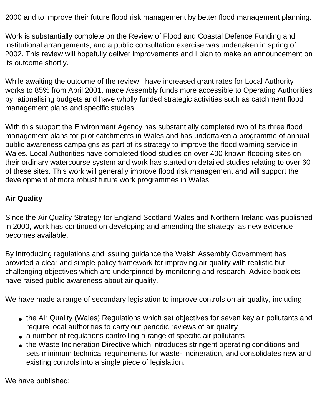2000 and to improve their future flood risk management by better flood management planning.

Work is substantially complete on the Review of Flood and Coastal Defence Funding and institutional arrangements, and a public consultation exercise was undertaken in spring of 2002. This review will hopefully deliver improvements and I plan to make an announcement on its outcome shortly.

While awaiting the outcome of the review I have increased grant rates for Local Authority works to 85% from April 2001, made Assembly funds more accessible to Operating Authorities by rationalising budgets and have wholly funded strategic activities such as catchment flood management plans and specific studies.

With this support the Environment Agency has substantially completed two of its three flood management plans for pilot catchments in Wales and has undertaken a programme of annual public awareness campaigns as part of its strategy to improve the flood warning service in Wales. Local Authorities have completed flood studies on over 400 known flooding sites on their ordinary watercourse system and work has started on detailed studies relating to over 60 of these sites. This work will generally improve flood risk management and will support the development of more robust future work programmes in Wales.

# **Air Quality**

Since the Air Quality Strategy for England Scotland Wales and Northern Ireland was published in 2000, work has continued on developing and amending the strategy, as new evidence becomes available.

By introducing regulations and issuing guidance the Welsh Assembly Government has provided a clear and simple policy framework for improving air quality with realistic but challenging objectives which are underpinned by monitoring and research. Advice booklets have raised public awareness about air quality.

We have made a range of secondary legislation to improve controls on air quality, including

- the Air Quality (Wales) Regulations which set objectives for seven key air pollutants and require local authorities to carry out periodic reviews of air quality
- a number of regulations controlling a range of specific air pollutants
- the Waste Incineration Directive which introduces stringent operating conditions and sets minimum technical requirements for waste- incineration, and consolidates new and existing controls into a single piece of legislation.

We have published: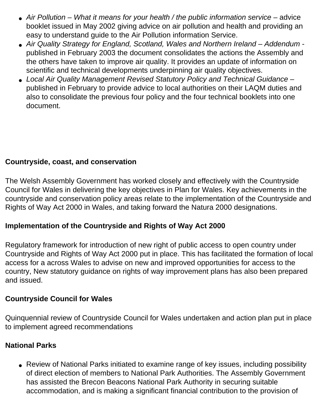- Air Pollution What it means for your health / the public information service advice booklet issued in May 2002 giving advice on air pollution and health and providing an easy to understand guide to the Air Pollution information Service.
- Air Quality Strategy for England, Scotland, Wales and Northern Ireland Addendum published in February 2003 the document consolidates the actions the Assembly and the others have taken to improve air quality. It provides an update of information on scientific and technical developments underpinning air quality objectives.
- *Local Air Quality Management Revised Statutory Policy and Technical Guidance* published in February to provide advice to local authorities on their LAQM duties and also to consolidate the previous four policy and the four technical booklets into one document.

## **Countryside, coast, and conservation**

The Welsh Assembly Government has worked closely and effectively with the Countryside Council for Wales in delivering the key objectives in Plan for Wales. Key achievements in the countryside and conservation policy areas relate to the implementation of the Countryside and Rights of Way Act 2000 in Wales, and taking forward the Natura 2000 designations.

### **Implementation of the Countryside and Rights of Way Act 2000**

Regulatory framework for introduction of new right of public access to open country under Countryside and Rights of Way Act 2000 put in place. This has facilitated the formation of local access for a across Wales to advise on new and improved opportunities for access to the country, New statutory guidance on rights of way improvement plans has also been prepared and issued.

### **Countryside Council for Wales**

Quinquennial review of Countryside Council for Wales undertaken and action plan put in place to implement agreed recommendations

#### **National Parks**

• Review of National Parks initiated to examine range of key issues, including possibility of direct election of members to National Park Authorities. The Assembly Government has assisted the Brecon Beacons National Park Authority in securing suitable accommodation, and is making a significant financial contribution to the provision of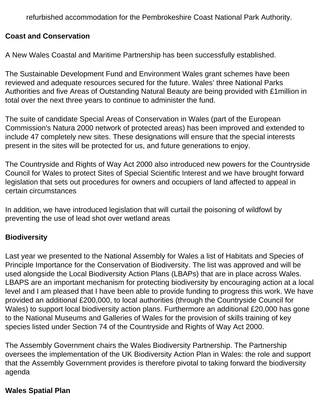refurbished accommodation for the Pembrokeshire Coast National Park Authority.

### **Coast and Conservation**

A New Wales Coastal and Maritime Partnership has been successfully established.

The Sustainable Development Fund and Environment Wales grant schemes have been reviewed and adequate resources secured for the future. Wales' three National Parks Authorities and five Areas of Outstanding Natural Beauty are being provided with £1million in total over the next three years to continue to administer the fund.

The suite of candidate Special Areas of Conservation in Wales (part of the European Commission's Natura 2000 network of protected areas) has been improved and extended to include 47 completely new sites. These designations will ensure that the special interests present in the sites will be protected for us, and future generations to enjoy.

The Countryside and Rights of Way Act 2000 also introduced new powers for the Countryside Council for Wales to protect Sites of Special Scientific Interest and we have brought forward legislation that sets out procedures for owners and occupiers of land affected to appeal in certain circumstances

In addition, we have introduced legislation that will curtail the poisoning of wildfowl by preventing the use of lead shot over wetland areas

#### **Biodiversity**

Last year we presented to the National Assembly for Wales a list of Habitats and Species of Principle Importance for the Conservation of Biodiversity. The list was approved and will be used alongside the Local Biodiversity Action Plans (LBAPs) that are in place across Wales. LBAPS are an important mechanism for protecting biodiversity by encouraging action at a local level and I am pleased that I have been able to provide funding to progress this work. We have provided an additional £200,000, to local authorities (through the Countryside Council for Wales) to support local biodiversity action plans. Furthermore an additional £20,000 has gone to the National Museums and Galleries of Wales for the provision of skills training of key species listed under Section 74 of the Countryside and Rights of Way Act 2000.

The Assembly Government chairs the Wales Biodiversity Partnership. The Partnership oversees the implementation of the UK Biodiversity Action Plan in Wales: the role and support that the Assembly Government provides is therefore pivotal to taking forward the biodiversity agenda

### **Wales Spatial Plan**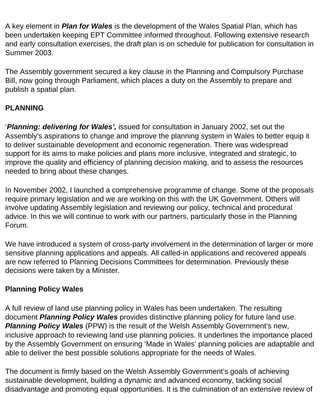A key element in *Plan for Wales* is the development of the Wales Spatial Plan, which has been undertaken keeping EPT Committee informed throughout. Following extensive research and early consultation exercises, the draft plan is on schedule for publication for consultation in Summer 2003.

The Assembly government secured a key clause in the Planning and Compulsory Purchase Bill, now going through Parliament, which places a duty on the Assembly to prepare and publish a spatial plan.

# **PLANNING**

'*Planning: delivering for Wales',* issued for consultation in January 2002, set out the Assembly's aspirations to change and improve the planning system in Wales to better equip it to deliver sustainable development and economic regeneration. There was widespread support for its aims to make policies and plans more inclusive, integrated and strategic, to improve the quality and efficiency of planning decision making, and to assess the resources needed to bring about these changes.

In November 2002, I launched a comprehensive programme of change. Some of the proposals require primary legislation and we are working on this with the UK Government. Others will involve updating Assembly legislation and reviewing our policy, technical and procedural advice. In this we will continue to work with our partners, particularly those in the Planning Forum.

We have introduced a system of cross-party involvement in the determination of larger or more sensitive planning applications and appeals. All called-in applications and recovered appeals are now referred to Planning Decisions Committees for determination. Previously these decisions were taken by a Minister.

# **Planning Policy Wales**

A full review of land use planning policy in Wales has been undertaken. The resulting document *Planning Policy Wales* provides distinctive planning policy for future land use. **Planning Policy Wales** (PPW) is the result of the Welsh Assembly Government's new, inclusive approach to reviewing land use planning policies. It underlines the importance placed by the Assembly Government on ensuring 'Made in Wales' planning policies are adaptable and able to deliver the best possible solutions appropriate for the needs of Wales.

The document is firmly based on the Welsh Assembly Government's goals of achieving sustainable development, building a dynamic and advanced economy, tackling social disadvantage and promoting equal opportunities. It is the culmination of an extensive review of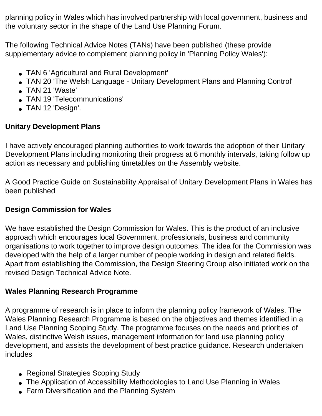planning policy in Wales which has involved partnership with local government, business and the voluntary sector in the shape of the Land Use Planning Forum.

The following Technical Advice Notes (TANs) have been published (these provide supplementary advice to complement planning policy in 'Planning Policy Wales'):

- TAN 6 'Agricultural and Rural Development'
- TAN 20 'The Welsh Language Unitary Development Plans and Planning Control'
- TAN 21 'Waste'
- TAN 19 'Telecommunications'
- TAN 12 'Design'.

# **Unitary Development Plans**

I have actively encouraged planning authorities to work towards the adoption of their Unitary Development Plans including monitoring their progress at 6 monthly intervals, taking follow up action as necessary and publishing timetables on the Assembly website.

A Good Practice Guide on Sustainability Appraisal of Unitary Development Plans in Wales has been published

### **Design Commission for Wales**

We have established the Design Commission for Wales. This is the product of an inclusive approach which encourages local Government, professionals, business and community organisations to work together to improve design outcomes. The idea for the Commission was developed with the help of a larger number of people working in design and related fields. Apart from establishing the Commission, the Design Steering Group also initiated work on the revised Design Technical Advice Note.

# **Wales Planning Research Programme**

A programme of research is in place to inform the planning policy framework of Wales. The Wales Planning Research Programme is based on the objectives and themes identified in a Land Use Planning Scoping Study. The programme focuses on the needs and priorities of Wales, distinctive Welsh issues, management information for land use planning policy development, and assists the development of best practice guidance. Research undertaken includes

- Regional Strategies Scoping Study
- The Application of Accessibility Methodologies to Land Use Planning in Wales
- Farm Diversification and the Planning System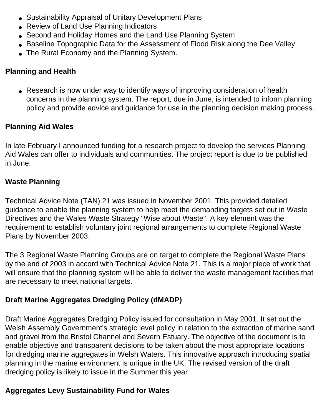- Sustainability Appraisal of Unitary Development Plans
- Review of Land Use Planning Indicators
- Second and Holiday Homes and the Land Use Planning System
- Baseline Topographic Data for the Assessment of Flood Risk along the Dee Valley
- The Rural Economy and the Planning System.

## **Planning and Health**

• Research is now under way to identify ways of improving consideration of health concerns in the planning system. The report, due in June, is intended to inform planning policy and provide advice and guidance for use in the planning decision making process.

# **Planning Aid Wales**

In late February I announced funding for a research project to develop the services Planning Aid Wales can offer to individuals and communities. The project report is due to be published in June.

## **Waste Planning**

Technical Advice Note (TAN) 21 was issued in November 2001. This provided detailed guidance to enable the planning system to help meet the demanding targets set out in Waste Directives and the Wales Waste Strategy "Wise about Waste". A key element was the requirement to establish voluntary joint regional arrangements to complete Regional Waste Plans by November 2003.

The 3 Regional Waste Planning Groups are on target to complete the Regional Waste Plans by the end of 2003 in accord with Technical Advice Note 21. This is a major piece of work that will ensure that the planning system will be able to deliver the waste management facilities that are necessary to meet national targets.

# **Draft Marine Aggregates Dredging Policy (dMADP)**

Draft Marine Aggregates Dredging Policy issued for consultation in May 2001. It set out the Welsh Assembly Government's strategic level policy in relation to the extraction of marine sand and gravel from the Bristol Channel and Severn Estuary. The objective of the document is to enable objective and transparent decisions to be taken about the most appropriate locations for dredging marine aggregates in Welsh Waters. This innovative approach introducing spatial planning in the marine environment is unique in the UK. The revised version of the draft dredging policy is likely to issue in the Summer this year

# **Aggregates Levy Sustainability Fund for Wales**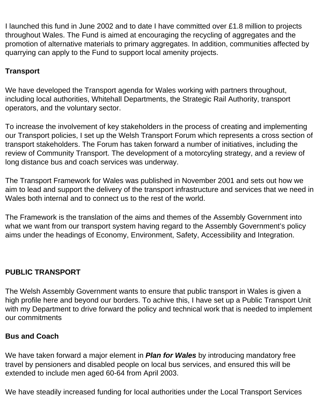I launched this fund in June 2002 and to date I have committed over £1.8 million to projects throughout Wales. The Fund is aimed at encouraging the recycling of aggregates and the promotion of alternative materials to primary aggregates. In addition, communities affected by quarrying can apply to the Fund to support local amenity projects.

# **Transport**

We have developed the Transport agenda for Wales working with partners throughout, including local authorities, Whitehall Departments, the Strategic Rail Authority, transport operators, and the voluntary sector.

To increase the involvement of key stakeholders in the process of creating and implementing our Transport policies, I set up the Welsh Transport Forum which represents a cross section of transport stakeholders. The Forum has taken forward a number of initiatives, including the review of Community Transport. The development of a motorcyling strategy, and a review of long distance bus and coach services was underway.

The Transport Framework for Wales was published in November 2001 and sets out how we aim to lead and support the delivery of the transport infrastructure and services that we need in Wales both internal and to connect us to the rest of the world.

The Framework is the translation of the aims and themes of the Assembly Government into what we want from our transport system having regard to the Assembly Government's policy aims under the headings of Economy, Environment, Safety, Accessibility and Integration.

# **PUBLIC TRANSPORT**

The Welsh Assembly Government wants to ensure that public transport in Wales is given a high profile here and beyond our borders. To achive this, I have set up a Public Transport Unit with my Department to drive forward the policy and technical work that is needed to implement our commitments

### **Bus and Coach**

We have taken forward a major element in *Plan for Wales* by introducing mandatory free travel by pensioners and disabled people on local bus services, and ensured this will be extended to include men aged 60-64 from April 2003.

We have steadily increased funding for local authorities under the Local Transport Services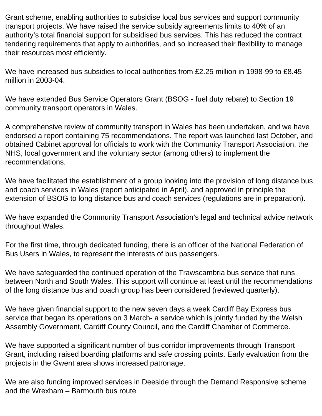Grant scheme, enabling authorities to subsidise local bus services and support community transport projects. We have raised the service subsidy agreements limits to 40% of an authority's total financial support for subsidised bus services. This has reduced the contract tendering requirements that apply to authorities, and so increased their flexibility to manage their resources most efficiently.

We have increased bus subsidies to local authorities from £2.25 million in 1998-99 to £8.45 million in 2003-04.

We have extended Bus Service Operators Grant (BSOG - fuel duty rebate) to Section 19 community transport operators in Wales.

A comprehensive review of community transport in Wales has been undertaken, and we have endorsed a report containing 75 recommendations. The report was launched last October, and obtained Cabinet approval for officials to work with the Community Transport Association, the NHS, local government and the voluntary sector (among others) to implement the recommendations.

We have facilitated the establishment of a group looking into the provision of long distance bus and coach services in Wales (report anticipated in April), and approved in principle the extension of BSOG to long distance bus and coach services (regulations are in preparation).

We have expanded the Community Transport Association's legal and technical advice network throughout Wales.

For the first time, through dedicated funding, there is an officer of the National Federation of Bus Users in Wales, to represent the interests of bus passengers.

We have safeguarded the continued operation of the Trawscambria bus service that runs between North and South Wales. This support will continue at least until the recommendations of the long distance bus and coach group has been considered (reviewed quarterly).

We have given financial support to the new seven days a week Cardiff Bay Express bus service that began its operations on 3 March- a service which is jointly funded by the Welsh Assembly Government, Cardiff County Council, and the Cardiff Chamber of Commerce.

We have supported a significant number of bus corridor improvements through Transport Grant, including raised boarding platforms and safe crossing points. Early evaluation from the projects in the Gwent area shows increased patronage.

We are also funding improved services in Deeside through the Demand Responsive scheme and the Wrexham – Barmouth bus route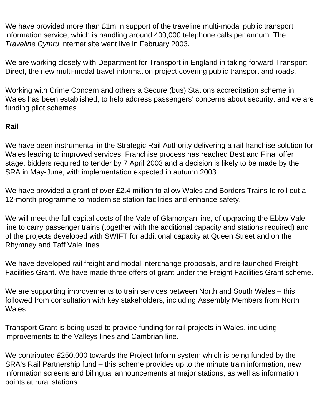We have provided more than £1m in support of the traveline multi-modal public transport information service, which is handling around 400,000 telephone calls per annum. The *Traveline Cymru* internet site went live in February 2003.

We are working closely with Department for Transport in England in taking forward Transport Direct, the new multi-modal travel information project covering public transport and roads.

Working with Crime Concern and others a Secure (bus) Stations accreditation scheme in Wales has been established, to help address passengers' concerns about security, and we are funding pilot schemes.

## **Rail**

We have been instrumental in the Strategic Rail Authority delivering a rail franchise solution for Wales leading to improved services. Franchise process has reached Best and Final offer stage, bidders required to tender by 7 April 2003 and a decision is likely to be made by the SRA in May-June, with implementation expected in autumn 2003.

We have provided a grant of over £2.4 million to allow Wales and Borders Trains to roll out a 12-month programme to modernise station facilities and enhance safety.

We will meet the full capital costs of the Vale of Glamorgan line, of upgrading the Ebbw Vale line to carry passenger trains (together with the additional capacity and stations required) and of the projects developed with SWIFT for additional capacity at Queen Street and on the Rhymney and Taff Vale lines.

We have developed rail freight and modal interchange proposals, and re-launched Freight Facilities Grant. We have made three offers of grant under the Freight Facilities Grant scheme.

We are supporting improvements to train services between North and South Wales – this followed from consultation with key stakeholders, including Assembly Members from North Wales.

Transport Grant is being used to provide funding for rail projects in Wales, including improvements to the Valleys lines and Cambrian line.

We contributed £250,000 towards the Project Inform system which is being funded by the SRA's Rail Partnership fund – this scheme provides up to the minute train information, new information screens and bilingual announcements at major stations, as well as information points at rural stations.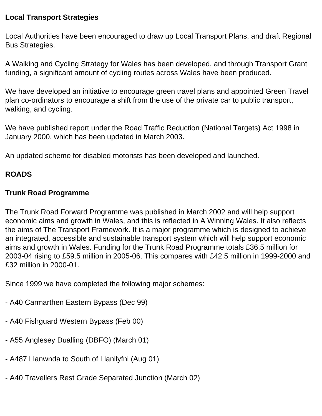### **Local Transport Strategies**

Local Authorities have been encouraged to draw up Local Transport Plans, and draft Regional Bus Strategies.

A Walking and Cycling Strategy for Wales has been developed, and through Transport Grant funding, a significant amount of cycling routes across Wales have been produced.

We have developed an initiative to encourage green travel plans and appointed Green Travel plan co-ordinators to encourage a shift from the use of the private car to public transport, walking, and cycling.

We have published report under the Road Traffic Reduction (National Targets) Act 1998 in January 2000, which has been updated in March 2003.

An updated scheme for disabled motorists has been developed and launched.

# **ROADS**

## **Trunk Road Programme**

The Trunk Road Forward Programme was published in March 2002 and will help support economic aims and growth in Wales, and this is reflected in A Winning Wales. It also reflects the aims of The Transport Framework. It is a major programme which is designed to achieve an integrated, accessible and sustainable transport system which will help support economic aims and growth in Wales. Funding for the Trunk Road Programme totals £36.5 million for 2003-04 rising to £59.5 million in 2005-06. This compares with £42.5 million in 1999-2000 and £32 million in 2000-01.

Since 1999 we have completed the following major schemes:

- A40 Carmarthen Eastern Bypass (Dec 99)
- A40 Fishguard Western Bypass (Feb 00)
- A55 Anglesey Dualling (DBFO) (March 01)
- A487 Llanwnda to South of Llanllyfni (Aug 01)
- A40 Travellers Rest Grade Separated Junction (March 02)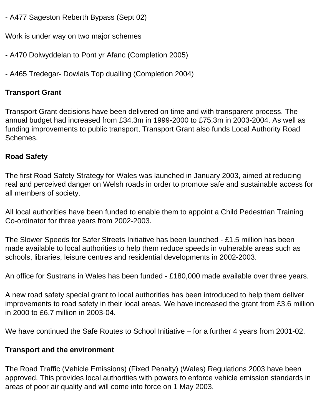- A477 Sageston Reberth Bypass (Sept 02)

Work is under way on two major schemes

- A470 Dolwyddelan to Pont yr Afanc (Completion 2005)
- A465 Tredegar- Dowlais Top dualling (Completion 2004)

## **Transport Grant**

Transport Grant decisions have been delivered on time and with transparent process. The annual budget had increased from £34.3m in 1999-2000 to £75.3m in 2003-2004. As well as funding improvements to public transport, Transport Grant also funds Local Authority Road Schemes.

### **Road Safety**

The first Road Safety Strategy for Wales was launched in January 2003, aimed at reducing real and perceived danger on Welsh roads in order to promote safe and sustainable access for all members of society.

All local authorities have been funded to enable them to appoint a Child Pedestrian Training Co-ordinator for three years from 2002-2003.

The Slower Speeds for Safer Streets Initiative has been launched - £1.5 million has been made available to local authorities to help them reduce speeds in vulnerable areas such as schools, libraries, leisure centres and residential developments in 2002-2003.

An office for Sustrans in Wales has been funded - £180,000 made available over three years.

A new road safety special grant to local authorities has been introduced to help them deliver improvements to road safety in their local areas. We have increased the grant from £3.6 million in 2000 to £6.7 million in 2003-04.

We have continued the Safe Routes to School Initiative – for a further 4 years from 2001-02.

### **Transport and the environment**

The Road Traffic (Vehicle Emissions) (Fixed Penalty) (Wales) Regulations 2003 have been approved. This provides local authorities with powers to enforce vehicle emission standards in areas of poor air quality and will come into force on 1 May 2003.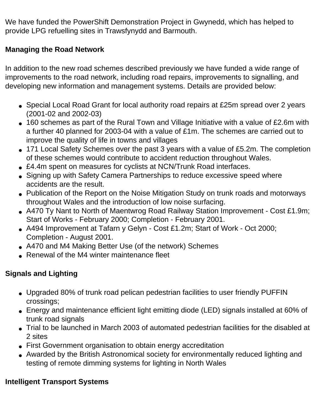We have funded the PowerShift Demonstration Project in Gwynedd, which has helped to provide LPG refuelling sites in Trawsfynydd and Barmouth.

# **Managing the Road Network**

In addition to the new road schemes described previously we have funded a wide range of improvements to the road network, including road repairs, improvements to signalling, and developing new information and management systems. Details are provided below:

- Special Local Road Grant for local authority road repairs at £25m spread over 2 years (2001-02 and 2002-03)
- 160 schemes as part of the Rural Town and Village Initiative with a value of £2.6m with a further 40 planned for 2003-04 with a value of £1m. The schemes are carried out to improve the quality of life in towns and villages
- 171 Local Safety Schemes over the past 3 years with a value of £5.2m. The completion of these schemes would contribute to accident reduction throughout Wales.
- £4.4m spent on measures for cyclists at NCN/Trunk Road interfaces.
- Signing up with Safety Camera Partnerships to reduce excessive speed where accidents are the result.
- Publication of the Report on the Noise Mitigation Study on trunk roads and motorways throughout Wales and the introduction of low noise surfacing.
- A470 Ty Nant to North of Maentwrog Road Railway Station Improvement Cost £1.9m; Start of Works - February 2000; Completion - February 2001.
- A494 Improvement at Tafarn y Gelyn Cost £1.2m; Start of Work Oct 2000; Completion - August 2001.
- A470 and M4 Making Better Use (of the network) Schemes
- Renewal of the M4 winter maintenance fleet

# **Signals and Lighting**

- Upgraded 80% of trunk road pelican pedestrian facilities to user friendly PUFFIN crossings;
- Energy and maintenance efficient light emitting diode (LED) signals installed at 60% of trunk road signals
- Trial to be launched in March 2003 of automated pedestrian facilities for the disabled at 2 sites
- First Government organisation to obtain energy accreditation
- Awarded by the British Astronomical society for environmentally reduced lighting and testing of remote dimming systems for lighting in North Wales

# **Intelligent Transport Systems**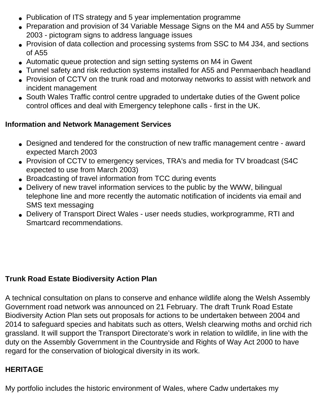- Publication of ITS strategy and 5 year implementation programme
- Preparation and provision of 34 Variable Message Signs on the M4 and A55 by Summer 2003 - pictogram signs to address language issues
- Provision of data collection and processing systems from SSC to M4 J34, and sections of A55
- Automatic queue protection and sign setting systems on M4 in Gwent
- Tunnel safety and risk reduction systems installed for A55 and Penmaenbach headland
- Provision of CCTV on the trunk road and motorway networks to assist with network and incident management
- South Wales Traffic control centre upgraded to undertake duties of the Gwent police control offices and deal with Emergency telephone calls - first in the UK.

### **Information and Network Management Services**

- Designed and tendered for the construction of new traffic management centre award expected March 2003
- Provision of CCTV to emergency services, TRA's and media for TV broadcast (S4C expected to use from March 2003)
- Broadcasting of travel information from TCC during events
- Delivery of new travel information services to the public by the WWW, bilingual telephone line and more recently the automatic notification of incidents via email and SMS text messaging
- Delivery of Transport Direct Wales user needs studies, workprogramme, RTI and Smartcard recommendations.

# **Trunk Road Estate Biodiversity Action Plan**

A technical consultation on plans to conserve and enhance wildlife along the Welsh Assembly Government road network was announced on 21 February. The draft Trunk Road Estate Biodiversity Action Plan sets out proposals for actions to be undertaken between 2004 and 2014 to safeguard species and habitats such as otters, Welsh clearwing moths and orchid rich grassland. It will support the Transport Directorate's work in relation to wildlife, in line with the duty on the Assembly Government in the Countryside and Rights of Way Act 2000 to have regard for the conservation of biological diversity in its work.

### **HERITAGE**

My portfolio includes the historic environment of Wales, where Cadw undertakes my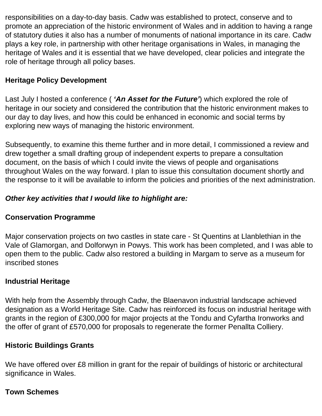responsibilities on a day-to-day basis. Cadw was established to protect, conserve and to promote an appreciation of the historic environment of Wales and in addition to having a range of statutory duties it also has a number of monuments of national importance in its care. Cadw plays a key role, in partnership with other heritage organisations in Wales, in managing the heritage of Wales and it is essential that we have developed, clear policies and integrate the role of heritage through all policy bases.

# **Heritage Policy Development**

Last July I hosted a conference ( *'An Asset for the Future'*) which explored the role of heritage in our society and considered the contribution that the historic environment makes to our day to day lives, and how this could be enhanced in economic and social terms by exploring new ways of managing the historic environment.

Subsequently, to examine this theme further and in more detail, I commissioned a review and drew together a small drafting group of independent experts to prepare a consultation document, on the basis of which I could invite the views of people and organisations throughout Wales on the way forward. I plan to issue this consultation document shortly and the response to it will be available to inform the policies and priorities of the next administration.

## *Other key activities that I would like to highlight are:*

### **Conservation Programme**

Major conservation projects on two castles in state care - St Quentins at Llanblethian in the Vale of Glamorgan, and Dolforwyn in Powys. This work has been completed, and I was able to open them to the public. Cadw also restored a building in Margam to serve as a museum for inscribed stones

# **Industrial Heritage**

With help from the Assembly through Cadw, the Blaenavon industrial landscape achieved designation as a World Heritage Site. Cadw has reinforced its focus on industrial heritage with grants in the region of £300,000 for major projects at the Tondu and Cyfartha Ironworks and the offer of grant of £570,000 for proposals to regenerate the former Penallta Colliery.

### **Historic Buildings Grants**

We have offered over £8 million in grant for the repair of buildings of historic or architectural significance in Wales.

### **Town Schemes**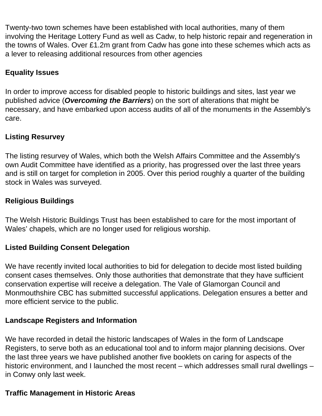Twenty-two town schemes have been established with local authorities, many of them involving the Heritage Lottery Fund as well as Cadw, to help historic repair and regeneration in the towns of Wales. Over £1.2m grant from Cadw has gone into these schemes which acts as a lever to releasing additional resources from other agencies

## **Equality Issues**

In order to improve access for disabled people to historic buildings and sites, last year we published advice (*Overcoming the Barriers*) on the sort of alterations that might be necessary, and have embarked upon access audits of all of the monuments in the Assembly's care.

### **Listing Resurvey**

The listing resurvey of Wales, which both the Welsh Affairs Committee and the Assembly's own Audit Committee have identified as a priority, has progressed over the last three years and is still on target for completion in 2005. Over this period roughly a quarter of the building stock in Wales was surveyed.

## **Religious Buildings**

The Welsh Historic Buildings Trust has been established to care for the most important of Wales' chapels, which are no longer used for religious worship.

### **Listed Building Consent Delegation**

We have recently invited local authorities to bid for delegation to decide most listed building consent cases themselves. Only those authorities that demonstrate that they have sufficient conservation expertise will receive a delegation. The Vale of Glamorgan Council and Monmouthshire CBC has submitted successful applications. Delegation ensures a better and more efficient service to the public.

### **Landscape Registers and Information**

We have recorded in detail the historic landscapes of Wales in the form of Landscape Registers, to serve both as an educational tool and to inform major planning decisions. Over the last three years we have published another five booklets on caring for aspects of the historic environment, and I launched the most recent – which addresses small rural dwellings – in Conwy only last week.

### **Traffic Management in Historic Areas**